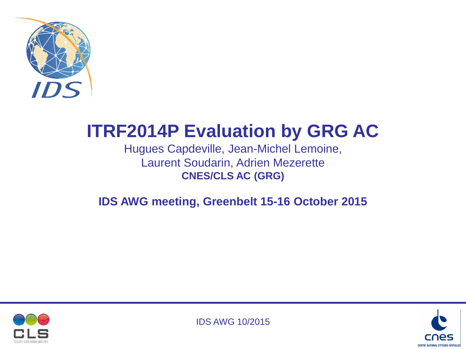

# **ITRF2014P Evaluation by GRG AC**

Hugues Capdeville, Jean-Michel Lemoine, Laurent Soudarin, Adrien Mezerette **CNES/CLS AC (GRG)**

**IDS AWG meeting, Greenbelt 15-16 October 2015**





IDS AWG 10/2015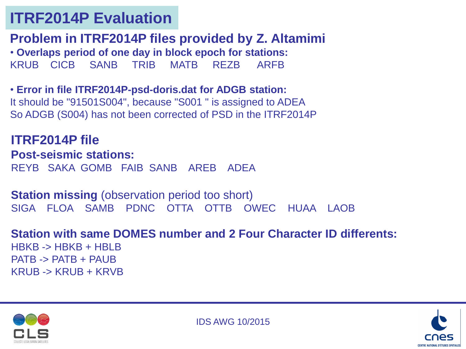### **ITRF2014P Evaluation**

**Problem in ITRF2014P files provided by Z. Altamimi** • **Overlaps period of one day in block epoch for stations:**  KRUB CICB SANB TRIB MATB REZB ARFB

• **Error in file ITRF2014P-psd-doris.dat for ADGB station:** It should be "91501S004", because "S001 " is assigned to ADEA So ADGB (S004) has not been corrected of PSD in the ITRF2014P

**ITRF2014P file Post-seismic stations:** REYB SAKA GOMB FAIB SANB AREB ADEA

**Station missing (observation period too short)** SIGA FLOA SAMB PDNC OTTA OTTB OWEC HUAA LAOB

**Station with same DOMES number and 2 Four Character ID differents:**

HBKB -> HBKB + HBLB PATB -> PATB + PAUB KRUB -> KRUB + KRVB



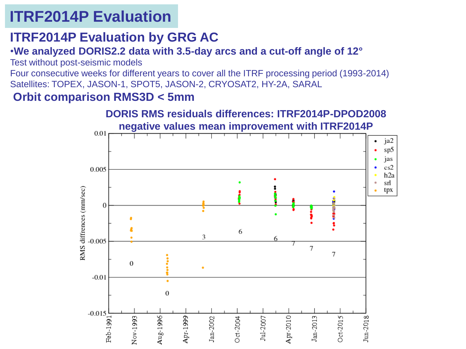## **ITRF2014P Evaluation**

### **ITRF2014P Evaluation by GRG AC**

#### •**We analyzed DORIS2.2 data with 3.5-day arcs and a cut-off angle of 12°**

Test without post-seismic models

Four consecutive weeks for different years to cover all the ITRF processing period (1993-2014) Satellites: TOPEX, JASON-1, SPOT5, JASON-2, CRYOSAT2, HY-2A, SARAL

#### **Orbit comparison RMS3D < 5mm**